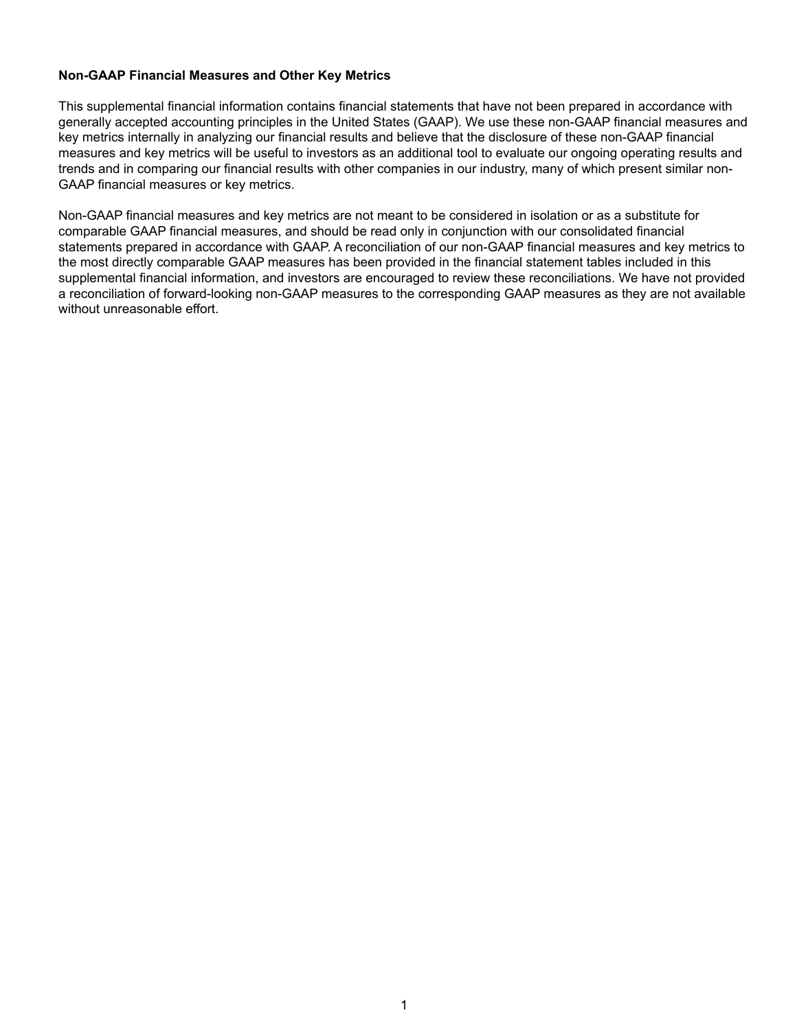### **Non-GAAP Financial Measures and Other Key Metrics**

This supplemental financial information contains financial statements that have not been prepared in accordance with generally accepted accounting principles in the United States (GAAP). We use these non-GAAP financial measures and key metrics internally in analyzing our financial results and believe that the disclosure of these non-GAAP financial measures and key metrics will be useful to investors as an additional tool to evaluate our ongoing operating results and trends and in comparing our financial results with other companies in our industry, many of which present similar non-GAAP financial measures or key metrics.

Non-GAAP financial measures and key metrics are not meant to be considered in isolation or as a substitute for comparable GAAP financial measures, and should be read only in conjunction with our consolidated financial statements prepared in accordance with GAAP. A reconciliation of our non-GAAP financial measures and key metrics to the most directly comparable GAAP measures has been provided in the financial statement tables included in this supplemental financial information, and investors are encouraged to review these reconciliations. We have not provided a reconciliation of forward-looking non-GAAP measures to the corresponding GAAP measures as they are not available without unreasonable effort.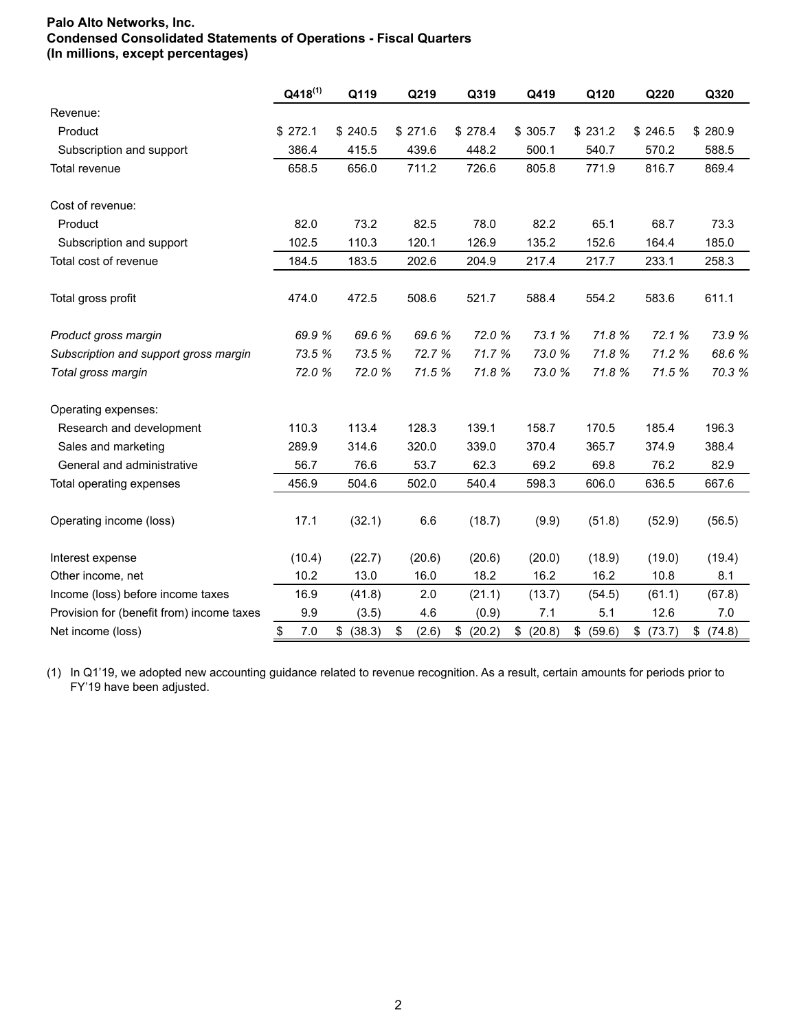## **Palo Alto Networks, Inc. Condensed Consolidated Statements of Operations - Fiscal Quarters (In millions, except percentages)**

|                                           | $Q418^{(1)}$ | Q119         | Q219        | Q319      | Q419      | Q120         | Q220         | Q320      |
|-------------------------------------------|--------------|--------------|-------------|-----------|-----------|--------------|--------------|-----------|
| Revenue:                                  |              |              |             |           |           |              |              |           |
| Product                                   | \$272.1      | \$240.5      | \$271.6     | \$278.4   | \$305.7   | \$231.2      | \$246.5      | \$280.9   |
| Subscription and support                  | 386.4        | 415.5        | 439.6       | 448.2     | 500.1     | 540.7        | 570.2        | 588.5     |
| Total revenue                             | 658.5        | 656.0        | 711.2       | 726.6     | 805.8     | 771.9        | 816.7        | 869.4     |
| Cost of revenue:                          |              |              |             |           |           |              |              |           |
| Product                                   | 82.0         | 73.2         | 82.5        | 78.0      | 82.2      | 65.1         | 68.7         | 73.3      |
| Subscription and support                  | 102.5        | 110.3        | 120.1       | 126.9     | 135.2     | 152.6        | 164.4        | 185.0     |
| Total cost of revenue                     | 184.5        | 183.5        | 202.6       | 204.9     | 217.4     | 217.7        | 233.1        | 258.3     |
| Total gross profit                        | 474.0        | 472.5        | 508.6       | 521.7     | 588.4     | 554.2        | 583.6        | 611.1     |
| Product gross margin                      | 69.9 %       | 69.6%        | 69.6 %      | 72.0 %    | 73.1 %    | 71.8%        | 72.1 %       | 73.9 %    |
| Subscription and support gross margin     | 73.5 %       | 73.5 %       | 72.7 %      | 71.7 %    | 73.0 %    | 71.8%        | 71.2 %       | 68.6%     |
| Total gross margin                        | 72.0%        | 72.0 %       | 71.5 %      | 71.8%     | 73.0%     | 71.8%        | 71.5 %       | 70.3 %    |
| Operating expenses:                       |              |              |             |           |           |              |              |           |
| Research and development                  | 110.3        | 113.4        | 128.3       | 139.1     | 158.7     | 170.5        | 185.4        | 196.3     |
| Sales and marketing                       | 289.9        | 314.6        | 320.0       | 339.0     | 370.4     | 365.7        | 374.9        | 388.4     |
| General and administrative                | 56.7         | 76.6         | 53.7        | 62.3      | 69.2      | 69.8         | 76.2         | 82.9      |
| Total operating expenses                  | 456.9        | 504.6        | 502.0       | 540.4     | 598.3     | 606.0        | 636.5        | 667.6     |
| Operating income (loss)                   | 17.1         | (32.1)       | 6.6         | (18.7)    | (9.9)     | (51.8)       | (52.9)       | (56.5)    |
| Interest expense                          | (10.4)       | (22.7)       | (20.6)      | (20.6)    | (20.0)    | (18.9)       | (19.0)       | (19.4)    |
| Other income, net                         | 10.2         | 13.0         | 16.0        | 18.2      | 16.2      | 16.2         | 10.8         | 8.1       |
| Income (loss) before income taxes         | 16.9         | (41.8)       | 2.0         | (21.1)    | (13.7)    | (54.5)       | (61.1)       | (67.8)    |
| Provision for (benefit from) income taxes | 9.9          | (3.5)        | 4.6         | (0.9)     | 7.1       | 5.1          | 12.6         | 7.0       |
| Net income (loss)                         | \$<br>7.0    | \$<br>(38.3) | \$<br>(2.6) | \$ (20.2) | \$ (20.8) | \$<br>(59.6) | \$<br>(73.7) | \$ (74.8) |

(1) In Q1'19, we adopted new accounting guidance related to revenue recognition. As a result, certain amounts for periods prior to FY'19 have been adjusted.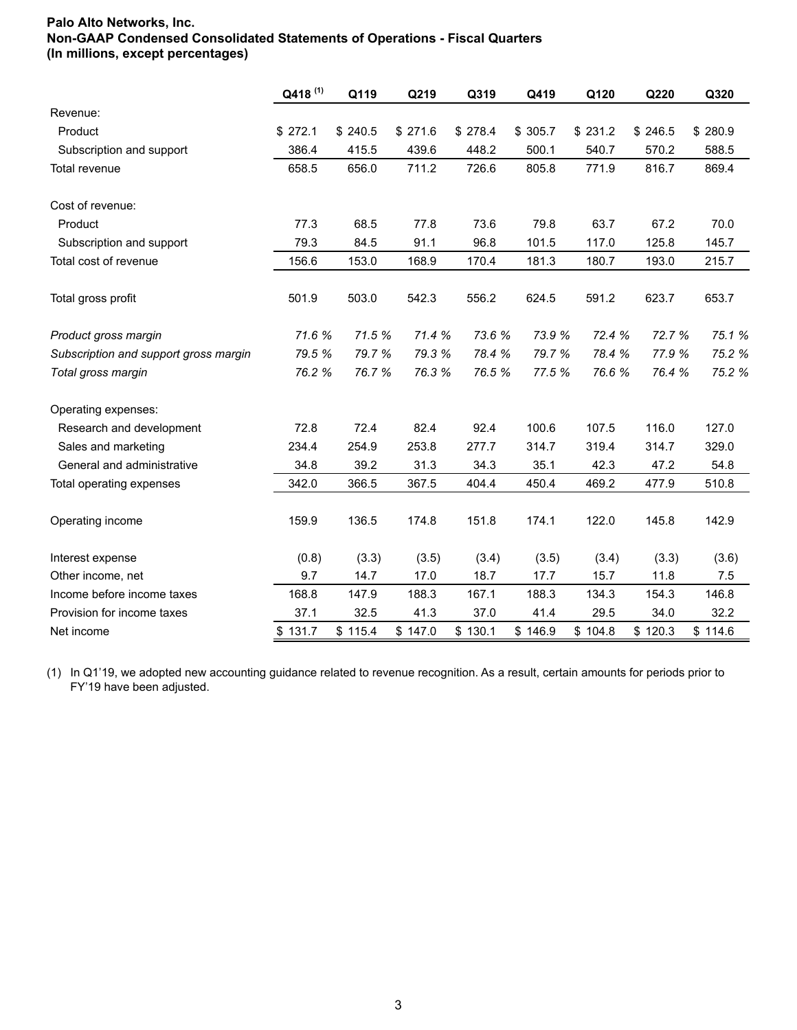# **Palo Alto Networks, Inc. Non-GAAP Condensed Consolidated Statements of Operations - Fiscal Quarters (In millions, except percentages)**

|                                       | Q418 <sup>(1)</sup> | Q119    | Q219    | Q319    | Q419    | Q120    | Q220    | Q320    |
|---------------------------------------|---------------------|---------|---------|---------|---------|---------|---------|---------|
| Revenue:                              |                     |         |         |         |         |         |         |         |
| Product                               | \$272.1             | \$240.5 | \$271.6 | \$278.4 | \$305.7 | \$231.2 | \$246.5 | \$280.9 |
| Subscription and support              | 386.4               | 415.5   | 439.6   | 448.2   | 500.1   | 540.7   | 570.2   | 588.5   |
| Total revenue                         | 658.5               | 656.0   | 711.2   | 726.6   | 805.8   | 771.9   | 816.7   | 869.4   |
| Cost of revenue:                      |                     |         |         |         |         |         |         |         |
| Product                               | 77.3                | 68.5    | 77.8    | 73.6    | 79.8    | 63.7    | 67.2    | 70.0    |
| Subscription and support              | 79.3                | 84.5    | 91.1    | 96.8    | 101.5   | 117.0   | 125.8   | 145.7   |
| Total cost of revenue                 | 156.6               | 153.0   | 168.9   | 170.4   | 181.3   | 180.7   | 193.0   | 215.7   |
| Total gross profit                    | 501.9               | 503.0   | 542.3   | 556.2   | 624.5   | 591.2   | 623.7   | 653.7   |
| Product gross margin                  | 71.6 %              | 71.5 %  | 71.4 %  | 73.6 %  | 73.9 %  | 72.4 %  | 72.7 %  | 75.1 %  |
| Subscription and support gross margin | 79.5 %              | 79.7 %  | 79.3 %  | 78.4 %  | 79.7 %  | 78.4 %  | 77.9 %  | 75.2 %  |
| Total gross margin                    | 76.2 %              | 76.7 %  | 76.3 %  | 76.5 %  | 77.5 %  | 76.6%   | 76.4 %  | 75.2 %  |
| Operating expenses:                   |                     |         |         |         |         |         |         |         |
| Research and development              | 72.8                | 72.4    | 82.4    | 92.4    | 100.6   | 107.5   | 116.0   | 127.0   |
| Sales and marketing                   | 234.4               | 254.9   | 253.8   | 277.7   | 314.7   | 319.4   | 314.7   | 329.0   |
| General and administrative            | 34.8                | 39.2    | 31.3    | 34.3    | 35.1    | 42.3    | 47.2    | 54.8    |
| Total operating expenses              | 342.0               | 366.5   | 367.5   | 404.4   | 450.4   | 469.2   | 477.9   | 510.8   |
| Operating income                      | 159.9               | 136.5   | 174.8   | 151.8   | 174.1   | 122.0   | 145.8   | 142.9   |
| Interest expense                      | (0.8)               | (3.3)   | (3.5)   | (3.4)   | (3.5)   | (3.4)   | (3.3)   | (3.6)   |
| Other income, net                     | 9.7                 | 14.7    | 17.0    | 18.7    | 17.7    | 15.7    | 11.8    | 7.5     |
| Income before income taxes            | 168.8               | 147.9   | 188.3   | 167.1   | 188.3   | 134.3   | 154.3   | 146.8   |
| Provision for income taxes            | 37.1                | 32.5    | 41.3    | 37.0    | 41.4    | 29.5    | 34.0    | 32.2    |
| Net income                            | \$131.7             | \$115.4 | \$147.0 | \$130.1 | \$146.9 | \$104.8 | \$120.3 | \$114.6 |

(1) In Q1'19, we adopted new accounting guidance related to revenue recognition. As a result, certain amounts for periods prior to FY'19 have been adjusted.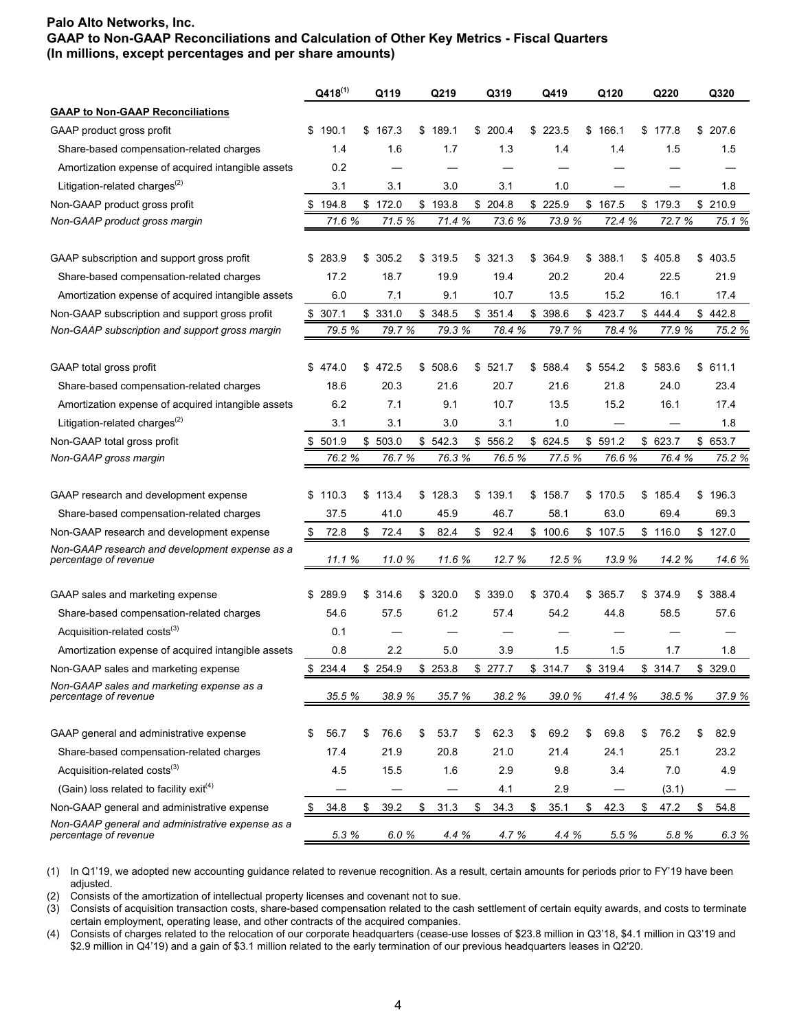|                                                                           |    | $Q418^{(1)}$ | Q119        | Q219        | Q319        | Q419        | Q120        | Q220        | Q320        |
|---------------------------------------------------------------------------|----|--------------|-------------|-------------|-------------|-------------|-------------|-------------|-------------|
| <b>GAAP to Non-GAAP Reconciliations</b>                                   |    |              |             |             |             |             |             |             |             |
| GAAP product gross profit                                                 |    | \$190.1      | \$167.3     | \$189.1     | \$200.4     | \$223.5     | \$166.1     | \$177.8     | \$207.6     |
| Share-based compensation-related charges                                  |    | 1.4          | 1.6         | 1.7         | 1.3         | 1.4         | 1.4         | 1.5         | 1.5         |
| Amortization expense of acquired intangible assets                        |    | 0.2          |             |             |             |             |             |             |             |
| Litigation-related charges <sup>(2)</sup>                                 |    | 3.1          | 3.1         | 3.0         | 3.1         | 1.0         |             |             | 1.8         |
| Non-GAAP product gross profit                                             |    | 194.8        | \$172.0     | \$193.8     | \$204.8     | \$225.9     | \$167.5     | \$179.3     | \$210.9     |
| Non-GAAP product gross margin                                             |    | 71.6 %       | 71.5 %      | 71.4 %      | 73.6 %      | 73.9 %      | 72.4 %      | 72.7 %      | 75.1 %      |
| GAAP subscription and support gross profit                                |    | \$283.9      | \$<br>305.2 | \$<br>319.5 | \$<br>321.3 | \$<br>364.9 | \$<br>388.1 | \$<br>405.8 | \$<br>403.5 |
| Share-based compensation-related charges                                  |    | 17.2         | 18.7        | 19.9        | 19.4        | 20.2        | 20.4        | 22.5        | 21.9        |
| Amortization expense of acquired intangible assets                        |    | 6.0          | 7.1         | 9.1         | 10.7        | 13.5        | 15.2        | 16.1        | 17.4        |
| Non-GAAP subscription and support gross profit                            | \$ | 307.1        | \$331.0     | \$348.5     | \$351.4     | \$<br>398.6 | \$423.7     | \$444.4     | \$442.8     |
| Non-GAAP subscription and support gross margin                            |    | 79.5 %       | 79.7 %      | 79.3 %      | 78.4 %      | 79.7 %      | 78.4 %      | 77.9 %      | 75.2 %      |
| GAAP total gross profit                                                   |    | \$474.0      | \$472.5     | \$<br>508.6 | \$<br>521.7 | \$<br>588.4 | \$<br>554.2 | \$<br>583.6 | \$<br>611.1 |
| Share-based compensation-related charges                                  |    | 18.6         | 20.3        | 21.6        | 20.7        | 21.6        | 21.8        | 24.0        | 23.4        |
| Amortization expense of acquired intangible assets                        |    | 6.2          | 7.1         | 9.1         | 10.7        | 13.5        | 15.2        | 16.1        | 17.4        |
| Litigation-related charges <sup>(2)</sup>                                 |    | 3.1          | 3.1         | 3.0         | 3.1         | 1.0         |             |             | 1.8         |
| Non-GAAP total gross profit                                               | S  | 501.9        | \$503.0     | \$542.3     | \$556.2     | \$624.5     | \$591.2     | \$623.7     | \$653.7     |
| Non-GAAP gross margin                                                     |    | 76.2 %       | 76.7%       | 76.3 %      | 76.5 %      | 77.5 %      | 76.6 %      | 76.4 %      | 75.2 %      |
| GAAP research and development expense                                     |    | \$110.3      | \$113.4     | \$<br>128.3 | \$139.1     | \$<br>158.7 | \$170.5     | \$185.4     | \$196.3     |
| Share-based compensation-related charges                                  |    | 37.5         | 41.0        | 45.9        | 46.7        | 58.1        | 63.0        | 69.4        | 69.3        |
| Non-GAAP research and development expense                                 | \$ | 72.8         | \$<br>72.4  | \$<br>82.4  | \$<br>92.4  | \$100.6     | \$107.5     | \$116.0     | \$127.0     |
| Non-GAAP research and development expense as a<br>percentage of revenue   |    | 11.1 %       | 11.0 %      | 11.6 %      | 12.7 %      | 12.5 %      | 13.9 %      | 14.2 %      | 14.6 %      |
| GAAP sales and marketing expense                                          |    | \$289.9      | \$314.6     | \$<br>320.0 | \$<br>339.0 | \$<br>370.4 | \$<br>365.7 | \$374.9     | \$<br>388.4 |
| Share-based compensation-related charges                                  |    | 54.6         | 57.5        | 61.2        | 57.4        | 54.2        | 44.8        | 58.5        | 57.6        |
| Acquisition-related costs <sup>(3)</sup>                                  |    | 0.1          |             |             |             |             |             |             |             |
| Amortization expense of acquired intangible assets                        |    | 0.8          | 2.2         | 5.0         | 3.9         | 1.5         | 1.5         | 1.7         | 1.8         |
| Non-GAAP sales and marketing expense                                      | \$ | 234.4        | \$254.9     | \$253.8     | \$277.7     | \$314.7     | \$319.4     | \$314.7     | \$329.0     |
| Non-GAAP sales and marketing expense as a<br>percentage of revenue        |    | 35.5 %       | 38.9 %      | 35.7 %      | 38.2 %      | 39.0%       | 41.4 %      | 38.5 %      | 37.9 %      |
|                                                                           |    |              |             |             |             |             |             |             |             |
| GAAP general and administrative expense                                   | \$ | 56.7         | \$<br>76.6  | \$<br>53.7  | \$<br>62.3  | \$<br>69.2  | \$<br>69.8  | \$<br>76.2  | \$<br>82.9  |
| Share-based compensation-related charges                                  |    | 17.4         | 21.9        | 20.8        | 21.0        | 21.4        | 24.1        | 25.1        | 23.2        |
| Acquisition-related costs <sup>(3)</sup>                                  |    | 4.5          | 15.5        | 1.6         | 2.9         | 9.8         | 3.4         | 7.0         | 4.9         |
| (Gain) loss related to facility exit <sup>(4)</sup>                       |    |              |             |             | 4.1         | 2.9         |             | (3.1)       |             |
| Non-GAAP general and administrative expense                               | \$ | 34.8         | \$<br>39.2  | \$<br>31.3  | \$<br>34.3  | \$<br>35.1  | \$<br>42.3  | \$<br>47.2  | \$<br>54.8  |
| Non-GAAP general and administrative expense as a<br>percentage of revenue |    | 5.3%         | 6.0%        | 4.4 %       | 4.7 %       | 4.4 %       | 5.5 %       | 5.8%        | 6.3%        |

(1) In Q1'19, we adopted new accounting guidance related to revenue recognition. As a result, certain amounts for periods prior to FY'19 have been adjusted.

(2) Consists of the amortization of intellectual property licenses and covenant not to sue.

(3) Consists of acquisition transaction costs, share-based compensation related to the cash settlement of certain equity awards, and costs to terminate certain employment, operating lease, and other contracts of the acquired companies.

(4) Consists of charges related to the relocation of our corporate headquarters (cease-use losses of \$23.8 million in Q3'18, \$4.1 million in Q3'19 and \$2.9 million in Q4'19) and a gain of \$3.1 million related to the early termination of our previous headquarters leases in Q2'20.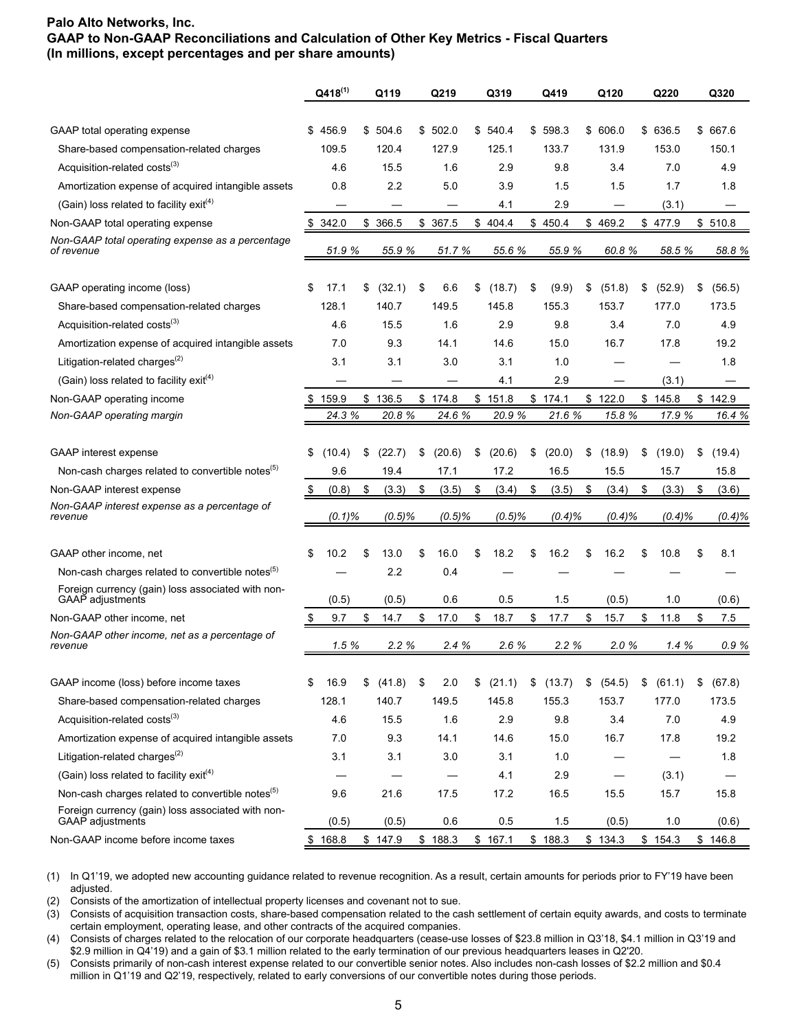|                                                                              |    | $Q418^{(1)}$     | Q119         |    | Q219      | Q319         | Q419         | Q120         | Q220         | Q320         |
|------------------------------------------------------------------------------|----|------------------|--------------|----|-----------|--------------|--------------|--------------|--------------|--------------|
|                                                                              |    |                  |              |    |           |              |              |              |              |              |
| GAAP total operating expense                                                 | S  | 456.9            | \$504.6      |    | \$502.0   | \$540.4      | \$598.3      | \$606.0      | \$ 636.5     | \$ 667.6     |
| Share-based compensation-related charges                                     |    | 109.5            | 120.4        |    | 127.9     | 125.1        | 133.7        | 131.9        | 153.0        | 150.1        |
| Acquisition-related costs <sup>(3)</sup>                                     |    | 4.6              | 15.5         |    | 1.6       | 2.9          | 9.8          | 3.4          | 7.0          | 4.9          |
| Amortization expense of acquired intangible assets                           |    | 0.8              | 2.2          |    | 5.0       | 3.9          | 1.5          | 1.5          | 1.7          | 1.8          |
| (Gain) loss related to facility exit(4)                                      |    |                  |              |    |           | 4.1          | 2.9          |              | (3.1)        |              |
| Non-GAAP total operating expense                                             | \$ | 342.0            | \$<br>366.5  |    | \$ 367.5  | \$404.4      | \$450.4      | \$469.2      | \$477.9      | \$510.8      |
| Non-GAAP total operating expense as a percentage<br>of revenue               |    | 51.9 %           | 55.9 %       |    | 51.7 %    | 55.6 %       | 55.9 %       | 60.8%        | 58.5 %       | 58.8 %       |
| GAAP operating income (loss)                                                 | \$ | 17.1             | \$<br>(32.1) | \$ | 6.6       | \$<br>(18.7) | \$<br>(9.9)  | \$<br>(51.8) | \$<br>(52.9) | \$<br>(56.5) |
| Share-based compensation-related charges                                     |    | 128.1            | 140.7        |    | 149.5     | 145.8        | 155.3        | 153.7        | 177.0        | 173.5        |
| Acquisition-related costs <sup>(3)</sup>                                     |    | 4.6              | 15.5         |    | 1.6       | 2.9          | 9.8          | 3.4          | 7.0          | 4.9          |
| Amortization expense of acquired intangible assets                           |    | 7.0              | 9.3          |    | 14.1      | 14.6         | 15.0         | 16.7         | 17.8         | 19.2         |
| Litigation-related charges <sup>(2)</sup>                                    |    | 3.1              | 3.1          |    | 3.0       | 3.1          | 1.0          |              |              | 1.8          |
| (Gain) loss related to facility exit <sup>(4)</sup>                          |    |                  |              |    |           | 4.1          | 2.9          |              | (3.1)        |              |
| Non-GAAP operating income                                                    |    | 159.9            | \$136.5      |    | \$174.8   | \$151.8      | \$174.1      | \$122.0      | \$145.8      | \$<br>142.9  |
| Non-GAAP operating margin                                                    |    | 24.3 %           | 20.8%        |    | 24.6 %    | 20.9 %       | 21.6%        | 15.8%        | 17.9 %       | 16.4 %       |
|                                                                              |    |                  |              |    |           |              |              |              |              |              |
| <b>GAAP</b> interest expense                                                 | \$ | (10.4)           | \$<br>(22.7) | \$ | (20.6)    | \$<br>(20.6) | \$<br>(20.0) | \$<br>(18.9) | \$<br>(19.0) | \$<br>(19.4) |
| Non-cash charges related to convertible notes <sup>(5)</sup>                 |    | 9.6              | 19.4         |    | 17.1      | 17.2         | 16.5         | 15.5         | 15.7         | 15.8         |
| Non-GAAP interest expense                                                    | S  | (0.8)            | \$<br>(3.3)  | \$ | (3.5)     | \$<br>(3.4)  | \$<br>(3.5)  | \$<br>(3.4)  | \$<br>(3.3)  | \$<br>(3.6)  |
| Non-GAAP interest expense as a percentage of<br>revenue                      |    | $(0.1)\%$        | $(0.5)\%$    |    | $(0.5)\%$ | $(0.5)\%$    | $(0.4)\%$    | $(0.4)\%$    | $(0.4)\%$    | $(0.4)\%$    |
| GAAP other income, net                                                       | \$ | 10.2             | \$<br>13.0   | S  | 16.0      | \$<br>18.2   | \$<br>16.2   | \$<br>16.2   | \$<br>10.8   | \$<br>8.1    |
| Non-cash charges related to convertible notes <sup>(5)</sup>                 |    |                  | 2.2          |    | 0.4       |              |              |              |              |              |
| Foreign currency (gain) loss associated with non-<br><b>GAAP</b> adjustments |    | (0.5)            | (0.5)        |    | 0.6       | 0.5          | 1.5          | (0.5)        | 1.0          | (0.6)        |
| Non-GAAP other income, net                                                   |    | 9.7              | \$<br>14.7   | \$ | 17.0      | \$<br>18.7   | \$<br>17.7   | \$<br>15.7   | \$<br>11.8   | \$<br>7.5    |
| Non-GAAP other income, net as a percentage of<br>revenue                     |    | 1.5%             | 2.2%         |    | 2.4%      | 2.6%         | 2.2%         | 2.0%         | 1.4%         | 0.9%         |
|                                                                              |    |                  |              |    |           |              |              |              |              |              |
| GAAP income (loss) before income taxes                                       | \$ | 16.9             | \$<br>(41.8) | \$ | 2.0       | \$<br>(21.1) | \$<br>(13.7) | \$<br>(54.5) | \$<br>(61.1) | \$<br>(67.8) |
| Share-based compensation-related charges                                     |    | 128.1            | 140.7        |    | 149.5     | 145.8        | 155.3        | 153.7        | 177.0        | 173.5        |
| Acquisition-related costs <sup>(3)</sup>                                     |    | 4.6              | 15.5         |    | 1.6       | 2.9          | 9.8          | 3.4          | 7.0          | 4.9          |
| Amortization expense of acquired intangible assets                           |    | 7.0              | 9.3          |    | 14.1      | 14.6         | 15.0         | 16.7         | 17.8         | 19.2         |
| Litigation-related charges <sup>(2)</sup>                                    |    | 3.1              | 3.1          |    | 3.0       | 3.1          | 1.0          |              |              | 1.8          |
| (Gain) loss related to facility exit <sup>(4)</sup>                          |    |                  |              |    |           | 4.1          | 2.9          |              | (3.1)        |              |
| Non-cash charges related to convertible notes <sup>(5)</sup>                 |    | 9.6              | 21.6         |    | 17.5      | 17.2         | 16.5         | 15.5         | 15.7         | 15.8         |
| Foreign currency (gain) loss associated with non-<br>GAAP adjustments        |    |                  |              |    | 0.6       | 0.5          | 1.5          |              | 1.0          | (0.6)        |
| Non-GAAP income before income taxes                                          |    | (0.5)<br>\$168.8 | (0.5)        |    |           |              |              | (0.5)        |              | \$146.8      |
|                                                                              |    |                  | \$147.9      |    | \$188.3   | \$167.1      | \$188.3      | \$134.3      | \$154.3      |              |

(1) In Q1'19, we adopted new accounting guidance related to revenue recognition. As a result, certain amounts for periods prior to FY'19 have been adjusted.

(2) Consists of the amortization of intellectual property licenses and covenant not to sue.

(3) Consists of acquisition transaction costs, share-based compensation related to the cash settlement of certain equity awards, and costs to terminate certain employment, operating lease, and other contracts of the acquired companies.

(4) Consists of charges related to the relocation of our corporate headquarters (cease-use losses of \$23.8 million in Q3'18, \$4.1 million in Q3'19 and \$2.9 million in Q4'19) and a gain of \$3.1 million related to the early termination of our previous headquarters leases in Q2'20.

(5) Consists primarily of non-cash interest expense related to our convertible senior notes. Also includes non-cash losses of \$2.2 million and \$0.4 million in Q1'19 and Q2'19, respectively, related to early conversions of our convertible notes during those periods.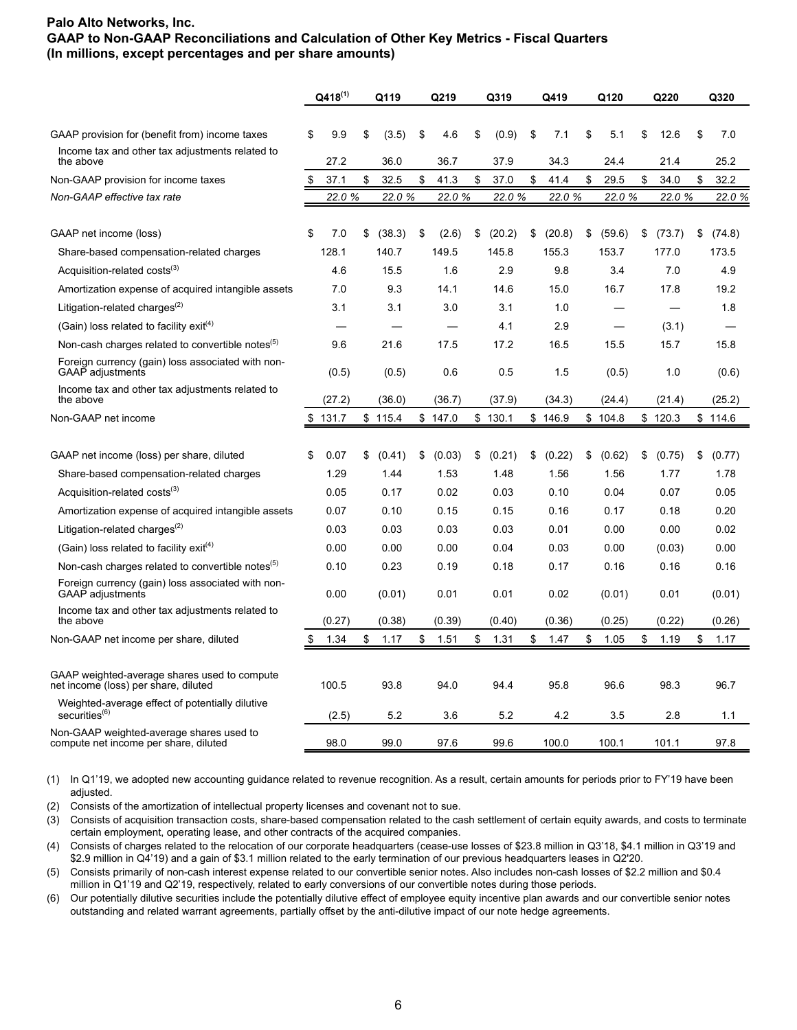|                                                                                      |    | $Q418^{(1)}$ | Q119         | Q219         | Q319         | Q419         | Q120         | Q220         | Q320         |
|--------------------------------------------------------------------------------------|----|--------------|--------------|--------------|--------------|--------------|--------------|--------------|--------------|
|                                                                                      |    |              |              |              |              |              |              |              |              |
| GAAP provision for (benefit from) income taxes                                       | \$ | 9.9          | \$<br>(3.5)  | \$<br>4.6    | \$<br>(0.9)  | \$<br>7.1    | \$<br>5.1    | \$<br>12.6   | \$<br>7.0    |
| Income tax and other tax adjustments related to<br>the above                         |    | 27.2         | 36.0         | 36.7         | 37.9         | 34.3         | 24.4         | 21.4         | 25.2         |
| Non-GAAP provision for income taxes                                                  | \$ | 37.1         | \$<br>32.5   | \$<br>41.3   | \$<br>37.0   | \$<br>41.4   | \$<br>29.5   | \$<br>34.0   | \$<br>32.2   |
| Non-GAAP effective tax rate                                                          |    | 22.0%        | 22.0 %       | 22.0%        | 22.0 %       | 22.0%        | 22.0 %       | 22.0%        | 22.0 %       |
|                                                                                      |    |              |              |              |              |              |              |              |              |
| GAAP net income (loss)                                                               | \$ | 7.0          | \$<br>(38.3) | \$<br>(2.6)  | \$<br>(20.2) | \$<br>(20.8) | \$<br>(59.6) | \$<br>(73.7) | \$<br>(74.8) |
| Share-based compensation-related charges                                             |    | 128.1        | 140.7        | 149.5        | 145.8        | 155.3        | 153.7        | 177.0        | 173.5        |
| Acquisition-related costs <sup>(3)</sup>                                             |    | 4.6          | 15.5         | 1.6          | 2.9          | 9.8          | 3.4          | 7.0          | 4.9          |
| Amortization expense of acquired intangible assets                                   |    | 7.0          | 9.3          | 14.1         | 14.6         | 15.0         | 16.7         | 17.8         | 19.2         |
| Litigation-related charges <sup>(2)</sup>                                            |    | 3.1          | 3.1          | 3.0          | 3.1          | 1.0          |              |              | 1.8          |
| (Gain) loss related to facility exit <sup>(4)</sup>                                  |    |              |              |              | 4.1          | 2.9          |              | (3.1)        |              |
| Non-cash charges related to convertible notes <sup>(5)</sup>                         |    | 9.6          | 21.6         | 17.5         | 17.2         | 16.5         | 15.5         | 15.7         | 15.8         |
| Foreign currency (gain) loss associated with non-<br>GAAP adjustments                |    | (0.5)        | (0.5)        | 0.6          | 0.5          | 1.5          | (0.5)        | 1.0          | (0.6)        |
| Income tax and other tax adjustments related to<br>the above                         |    | (27.2)       | (36.0)       | (36.7)       | (37.9)       | (34.3)       | (24.4)       | (21.4)       | (25.2)       |
| Non-GAAP net income                                                                  | \$ | 131.7        | \$115.4      | \$147.0      | \$130.1      | \$146.9      | \$104.8      | \$120.3      | \$114.6      |
|                                                                                      |    |              |              |              |              |              |              |              |              |
| GAAP net income (loss) per share, diluted                                            | \$ | 0.07         | \$<br>(0.41) | \$<br>(0.03) | \$<br>(0.21) | \$<br>(0.22) | \$<br>(0.62) | \$<br>(0.75) | \$<br>(0.77) |
| Share-based compensation-related charges                                             |    | 1.29         | 1.44         | 1.53         | 1.48         | 1.56         | 1.56         | 1.77         | 1.78         |
| Acquisition-related costs <sup>(3)</sup>                                             |    | 0.05         | 0.17         | 0.02         | 0.03         | 0.10         | 0.04         | 0.07         | 0.05         |
| Amortization expense of acquired intangible assets                                   |    | 0.07         | 0.10         | 0.15         | 0.15         | 0.16         | 0.17         | 0.18         | 0.20         |
| Litigation-related charges <sup>(2)</sup>                                            |    | 0.03         | 0.03         | 0.03         | 0.03         | 0.01         | 0.00         | 0.00         | 0.02         |
| (Gain) loss related to facility exit <sup>(4)</sup>                                  |    | 0.00         | 0.00         | 0.00         | 0.04         | 0.03         | 0.00         | (0.03)       | 0.00         |
| Non-cash charges related to convertible notes <sup>(5)</sup>                         |    | 0.10         | 0.23         | 0.19         | 0.18         | 0.17         | 0.16         | 0.16         | 0.16         |
| Foreign currency (gain) loss associated with non-<br>GAAP adjustments                |    | 0.00         | (0.01)       | 0.01         | 0.01         | 0.02         | (0.01)       | 0.01         | (0.01)       |
| Income tax and other tax adjustments related to<br>the above                         |    | (0.27)       | (0.38)       | (0.39)       | (0.40)       | (0.36)       | (0.25)       | (0.22)       | (0.26)       |
| Non-GAAP net income per share, diluted                                               | S  | 1.34         | \$<br>1.17   | \$<br>1.51   | \$<br>1.31   | \$<br>1.47   | \$<br>1.05   | \$<br>1.19   | \$<br>1.17   |
|                                                                                      |    |              |              |              |              |              |              |              |              |
| GAAP weighted-average shares used to compute<br>net income (loss) per share, diluted |    | 100.5        | 93.8         | 94.0         | 94.4         | 95.8         | 96.6         | 98.3         | 96.7         |
| Weighted-average effect of potentially dilutive<br>securities <sup>(6)</sup>         |    | (2.5)        | 5.2          | 3.6          | 5.2          | 4.2          | 3.5          | 2.8          | 1.1          |
| Non-GAAP weighted-average shares used to<br>compute net income per share, diluted    |    | 98.0         | 99.0         | 97.6         | 99.6         | 100.0        | 100.1        | 101.1        | 97.8         |

(1) In Q1'19, we adopted new accounting guidance related to revenue recognition. As a result, certain amounts for periods prior to FY'19 have been adjusted.

(2) Consists of the amortization of intellectual property licenses and covenant not to sue.

(3) Consists of acquisition transaction costs, share-based compensation related to the cash settlement of certain equity awards, and costs to terminate certain employment, operating lease, and other contracts of the acquired companies.

(4) Consists of charges related to the relocation of our corporate headquarters (cease-use losses of \$23.8 million in Q3'18, \$4.1 million in Q3'19 and \$2.9 million in Q4'19) and a gain of \$3.1 million related to the early termination of our previous headquarters leases in Q2'20.

(5) Consists primarily of non-cash interest expense related to our convertible senior notes. Also includes non-cash losses of \$2.2 million and \$0.4 million in Q1'19 and Q2'19, respectively, related to early conversions of our convertible notes during those periods.

(6) Our potentially dilutive securities include the potentially dilutive effect of employee equity incentive plan awards and our convertible senior notes outstanding and related warrant agreements, partially offset by the anti-dilutive impact of our note hedge agreements.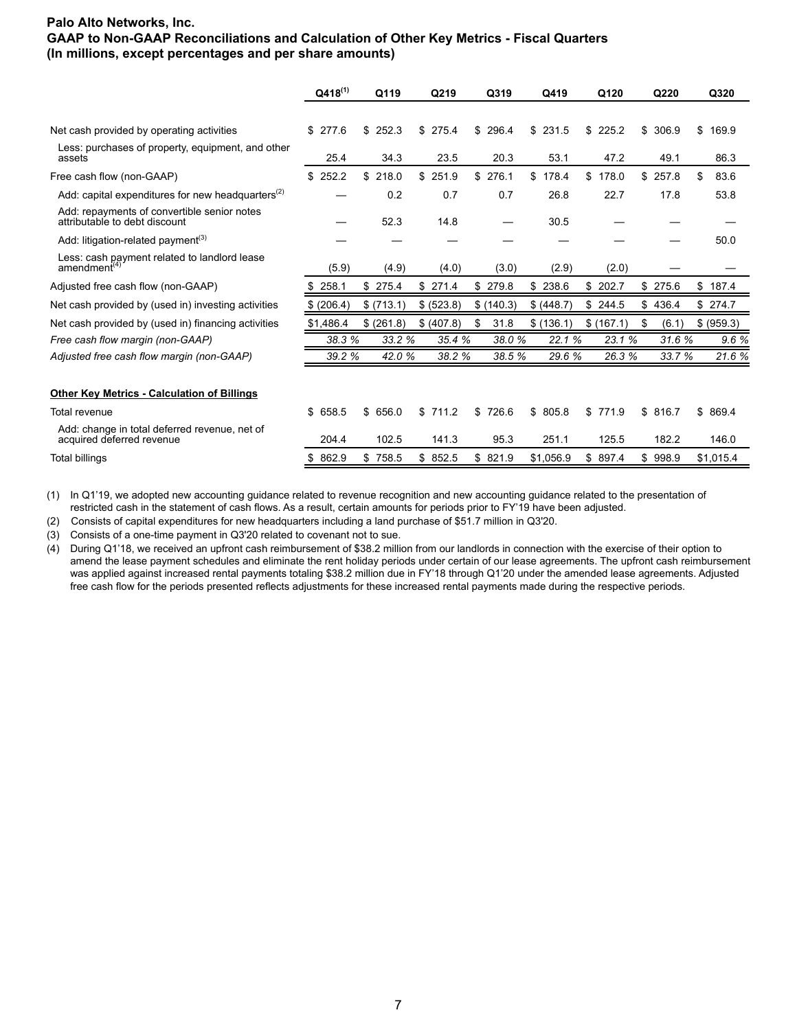|                                                                              | $Q418^{(1)}$  | Q119        | Q219       | Q319       | Q419        | Q120        | Q220        | Q320        |
|------------------------------------------------------------------------------|---------------|-------------|------------|------------|-------------|-------------|-------------|-------------|
|                                                                              |               |             |            |            |             |             |             |             |
| Net cash provided by operating activities                                    | \$277.6       | \$252.3     | \$275.4    | \$296.4    | \$231.5     | \$225.2     | \$<br>306.9 | \$<br>169.9 |
| Less: purchases of property, equipment, and other<br>assets                  | 25.4          | 34.3        | 23.5       | 20.3       | 53.1        | 47.2        | 49.1        | 86.3        |
| Free cash flow (non-GAAP)                                                    | 252.2<br>\$   | \$218.0     | \$251.9    | \$276.1    | \$<br>178.4 | \$<br>178.0 | \$<br>257.8 | \$<br>83.6  |
| Add: capital expenditures for new headquarters <sup>(2)</sup>                |               | 0.2         | 0.7        | 0.7        | 26.8        | 22.7        | 17.8        | 53.8        |
| Add: repayments of convertible senior notes<br>attributable to debt discount |               | 52.3        | 14.8       |            | 30.5        |             |             |             |
| Add: litigation-related payment <sup>(3)</sup>                               |               |             |            |            |             |             |             | 50.0        |
| Less: cash payment related to landlord lease<br>amendment <sup>(4)</sup>     | (5.9)         | (4.9)       | (4.0)      | (3.0)      | (2.9)       | (2.0)       |             |             |
| Adjusted free cash flow (non-GAAP)                                           | 258.1         | \$275.4     | \$271.4    | \$279.8    | 238.6<br>\$ | \$<br>202.7 | \$275.6     | \$<br>187.4 |
| Net cash provided by (used in) investing activities                          | (206.4)<br>\$ | \$(713.1)   | \$ (523.8) | \$(140.3)  | \$ (448.7)  | \$244.5     | \$<br>436.4 | \$274.7     |
| Net cash provided by (used in) financing activities                          | \$1,486.4     | \$ (261.8)  | \$ (407.8) | \$<br>31.8 | \$(136.1)   | \$(167.1)   | \$<br>(6.1) | \$ (959.3)  |
| Free cash flow margin (non-GAAP)                                             | 38.3 %        | 33.2 %      | 35.4 %     | 38.0%      | 22.1 %      | 23.1 %      | 31.6 %      | 9.6 %       |
| Adjusted free cash flow margin (non-GAAP)                                    | 39.2 %        | 42.0%       | 38.2 %     | 38.5 %     | 29.6 %      | 26.3%       | 33.7 %      | 21.6 %      |
|                                                                              |               |             |            |            |             |             |             |             |
| <b>Other Key Metrics - Calculation of Billings</b>                           |               |             |            |            |             |             |             |             |
| <b>Total revenue</b>                                                         | \$658.5       | \$656.0     | \$711.2    | \$726.6    | \$805.8     | \$771.9     | \$816.7     | \$869.4     |
| Add: change in total deferred revenue, net of<br>acquired deferred revenue   | 204.4         | 102.5       | 141.3      | 95.3       | 251.1       | 125.5       | 182.2       | 146.0       |
| Total billings                                                               | 862.9<br>\$   | \$<br>758.5 | \$852.5    | \$821.9    | \$1,056.9   | \$897.4     | \$998.9     | \$1,015.4   |

(1) In Q1'19, we adopted new accounting guidance related to revenue recognition and new accounting guidance related to the presentation of restricted cash in the statement of cash flows. As a result, certain amounts for periods prior to FY'19 have been adjusted.

(2) Consists of capital expenditures for new headquarters including a land purchase of \$51.7 million in Q3'20.

(3) Consists of a one-time payment in Q3'20 related to covenant not to sue.

(4) During Q1'18, we received an upfront cash reimbursement of \$38.2 million from our landlords in connection with the exercise of their option to amend the lease payment schedules and eliminate the rent holiday periods under certain of our lease agreements. The upfront cash reimbursement was applied against increased rental payments totaling \$38.2 million due in FY'18 through Q1'20 under the amended lease agreements. Adjusted free cash flow for the periods presented reflects adjustments for these increased rental payments made during the respective periods.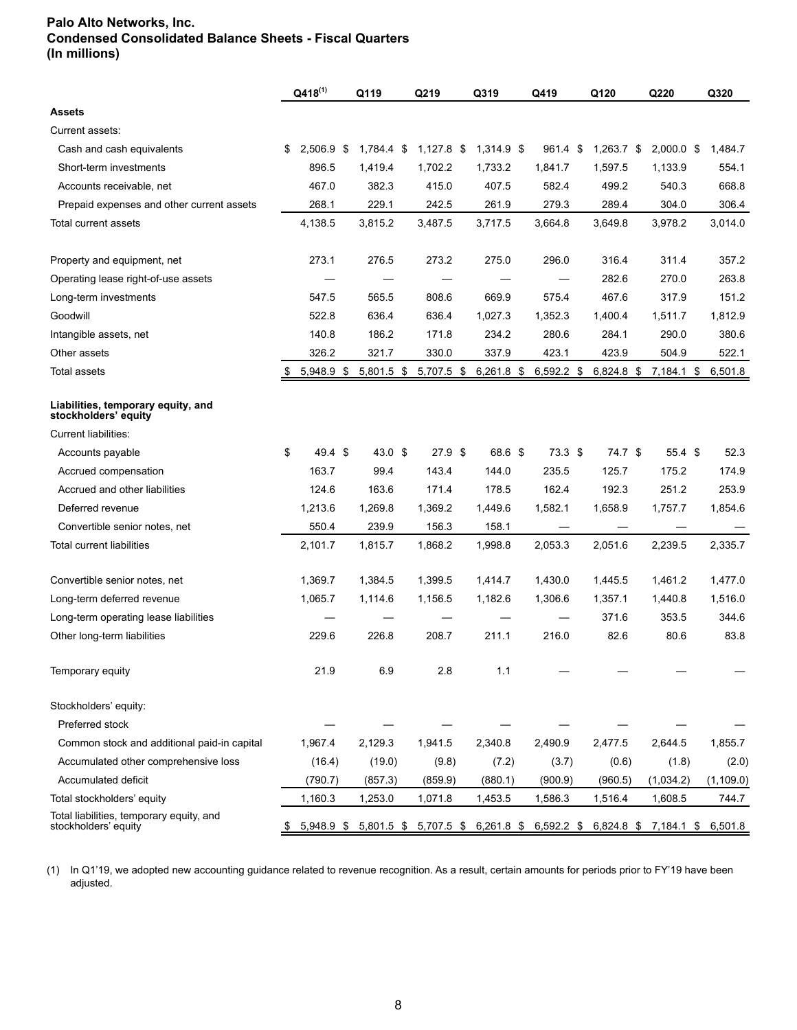# **Palo Alto Networks, Inc. Condensed Consolidated Balance Sheets - Fiscal Quarters (In millions)**

|                                                                  |    | $Q418^{(1)}$ |     | Q119              | Q219              | Q319                  | Q419              |     | Q120         | Q220                  | Q320       |
|------------------------------------------------------------------|----|--------------|-----|-------------------|-------------------|-----------------------|-------------------|-----|--------------|-----------------------|------------|
| <b>Assets</b>                                                    |    |              |     |                   |                   |                       |                   |     |              |                       |            |
| Current assets:                                                  |    |              |     |                   |                   |                       |                   |     |              |                       |            |
| Cash and cash equivalents                                        | \$ | 2.506.9      | -\$ | $1,784.4$ \$      | $1,127.8$ \$      | 1,314.9 \$            | 961.4             | -\$ | $1,263.7$ \$ | $2,000.0$ \$          | 1,484.7    |
| Short-term investments                                           |    | 896.5        |     | 1,419.4           | 1,702.2           | 1,733.2               | 1.841.7           |     | 1,597.5      | 1,133.9               | 554.1      |
| Accounts receivable, net                                         |    | 467.0        |     | 382.3             | 415.0             | 407.5                 | 582.4             |     | 499.2        | 540.3                 | 668.8      |
| Prepaid expenses and other current assets                        |    | 268.1        |     | 229.1             | 242.5             | 261.9                 | 279.3             |     | 289.4        | 304.0                 | 306.4      |
| Total current assets                                             |    | 4,138.5      |     | 3,815.2           | 3,487.5           | 3,717.5               | 3,664.8           |     | 3,649.8      | 3.978.2               | 3,014.0    |
| Property and equipment, net                                      |    | 273.1        |     | 276.5             | 273.2             | 275.0                 | 296.0             |     | 316.4        | 311.4                 | 357.2      |
| Operating lease right-of-use assets                              |    |              |     |                   |                   |                       |                   |     | 282.6        | 270.0                 | 263.8      |
| Long-term investments                                            |    | 547.5        |     | 565.5             | 808.6             | 669.9                 | 575.4             |     | 467.6        | 317.9                 | 151.2      |
| Goodwill                                                         |    | 522.8        |     | 636.4             | 636.4             | 1,027.3               | 1,352.3           |     | 1,400.4      | 1,511.7               | 1,812.9    |
| Intangible assets, net                                           |    | 140.8        |     | 186.2             | 171.8             | 234.2                 | 280.6             |     | 284.1        | 290.0                 | 380.6      |
| Other assets                                                     |    | 326.2        |     | 321.7             | 330.0             | 337.9                 | 423.1             |     | 423.9        | 504.9                 | 522.1      |
| <b>Total assets</b>                                              | \$ | 5,948.9 \$   |     | $5,801.5$ \$      | $5,707.5$ \$      | $6,261.8$ \$          | $6,592.2$ \$      |     | $6,824.8$ \$ | 7,184.1 \$            | 6,501.8    |
| Liabilities, temporary equity, and<br>stockholders' equity       |    |              |     |                   |                   |                       |                   |     |              |                       |            |
| <b>Current liabilities:</b>                                      |    |              |     |                   |                   |                       |                   |     |              |                       |            |
| Accounts payable                                                 | \$ | 49.4 \$      |     | $43.0 \text{ } $$ | 27.9 <sup>5</sup> | 68.6 \$               | 73.3 <sup>5</sup> |     | 74.7 \$      | 55.4 <sup>5</sup>     | 52.3       |
| Accrued compensation                                             |    | 163.7        |     | 99.4              | 143.4             | 144.0                 | 235.5             |     | 125.7        | 175.2                 | 174.9      |
| Accrued and other liabilities                                    |    | 124.6        |     | 163.6             | 171.4             | 178.5                 | 162.4             |     | 192.3        | 251.2                 | 253.9      |
| Deferred revenue                                                 |    | 1,213.6      |     | 1,269.8           | 1,369.2           | 1,449.6               | 1,582.1           |     | 1,658.9      | 1,757.7               | 1,854.6    |
| Convertible senior notes, net                                    |    | 550.4        |     | 239.9             | 156.3             | 158.1                 |                   |     |              |                       |            |
| Total current liabilities                                        |    | 2,101.7      |     | 1,815.7           | 1,868.2           | 1,998.8               | 2,053.3           |     | 2,051.6      | 2,239.5               | 2,335.7    |
| Convertible senior notes, net                                    |    | 1,369.7      |     | 1,384.5           | 1,399.5           | 1,414.7               | 1,430.0           |     | 1,445.5      | 1,461.2               | 1,477.0    |
| Long-term deferred revenue                                       |    | 1,065.7      |     | 1,114.6           | 1,156.5           | 1,182.6               | 1.306.6           |     | 1,357.1      | 1,440.8               | 1,516.0    |
| Long-term operating lease liabilities                            |    |              |     |                   |                   |                       |                   |     | 371.6        | 353.5                 | 344.6      |
| Other long-term liabilities                                      |    | 229.6        |     | 226.8             | 208.7             | 211.1                 | 216.0             |     | 82.6         | 80.6                  | 83.8       |
| Temporary equity                                                 |    | 21.9         |     | 6.9               | 2.8               | 1.1                   |                   |     |              |                       |            |
| Stockholders' equity:                                            |    |              |     |                   |                   |                       |                   |     |              |                       |            |
| Preferred stock                                                  |    |              |     |                   |                   |                       |                   |     |              |                       |            |
| Common stock and additional paid-in capital                      |    | 1,967.4      |     | 2,129.3           | 1,941.5           | 2,340.8               | 2,490.9           |     | 2,477.5      | 2,644.5               | 1,855.7    |
| Accumulated other comprehensive loss                             |    | (16.4)       |     | (19.0)            | (9.8)             | (7.2)                 | (3.7)             |     | (0.6)        | (1.8)                 | (2.0)      |
| Accumulated deficit                                              |    | (790.7)      |     | (857.3)           | (859.9)           | (880.1)               | (900.9)           |     | (960.5)      | (1,034.2)             | (1, 109.0) |
| Total stockholders' equity                                       |    | 1,160.3      |     | 1,253.0           | 1,071.8           | 1,453.5               | 1,586.3           |     | 1,516.4      | 1,608.5               | 744.7      |
| Total liabilities, temporary equity, and<br>stockholders' equity | S  | 5,948.9 \$   |     | $5,801.5$ \$      |                   | 5,707.5 \$ 6,261.8 \$ | 6,592.2 \$        |     |              | 6,824.8 \$ 7,184.1 \$ | 6,501.8    |

(1) In Q1'19, we adopted new accounting guidance related to revenue recognition. As a result, certain amounts for periods prior to FY'19 have been adjusted.